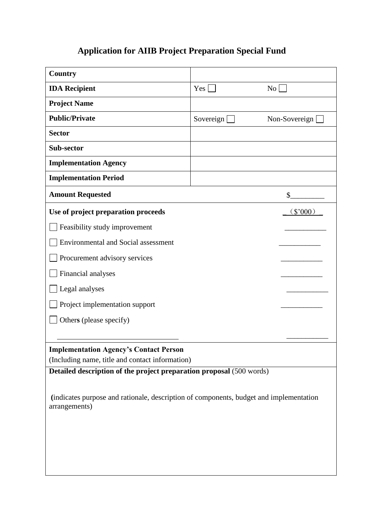## **Application for AIIB Project Preparation Special Fund**

| Country                                                                                                 |                  |               |
|---------------------------------------------------------------------------------------------------------|------------------|---------------|
| <b>IDA</b> Recipient                                                                                    | Yes              | No            |
| <b>Project Name</b>                                                                                     |                  |               |
| <b>Public/Private</b>                                                                                   | Sovereign $\Box$ | Non-Sovereign |
| <b>Sector</b>                                                                                           |                  |               |
| Sub-sector                                                                                              |                  |               |
| <b>Implementation Agency</b>                                                                            |                  |               |
| <b>Implementation Period</b>                                                                            |                  |               |
| <b>Amount Requested</b>                                                                                 |                  | \$            |
| Use of project preparation proceeds<br>\$000)                                                           |                  |               |
| Feasibility study improvement                                                                           |                  |               |
| <b>Environmental and Social assessment</b>                                                              |                  |               |
| Procurement advisory services                                                                           |                  |               |
| Financial analyses                                                                                      |                  |               |
| Legal analyses                                                                                          |                  |               |
| Project implementation support                                                                          |                  |               |
| Others (please specify)                                                                                 |                  |               |
|                                                                                                         |                  |               |
| <b>Implementation Agency's Contact Person</b><br>(Including name, title and contact information)        |                  |               |
| Detailed description of the project preparation proposal (500 words)                                    |                  |               |
| (indicates purpose and rationale, description of components, budget and implementation<br>arrangements) |                  |               |
|                                                                                                         |                  |               |